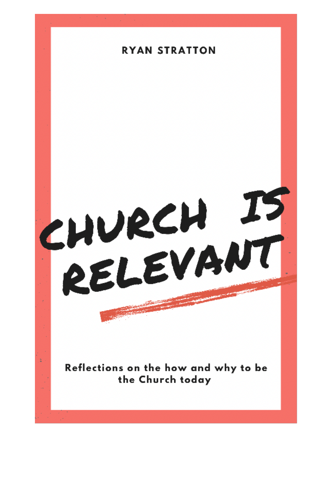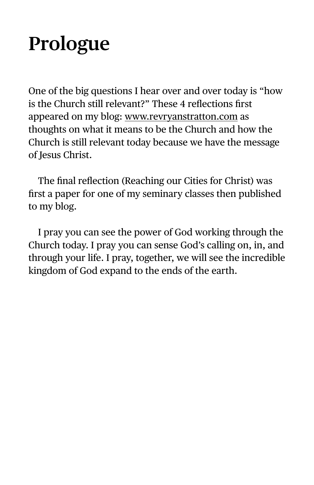# **Prologue**

One of the big questions I hear over and over today is "how is the Church still relevant?" These 4 reflections first appeared on my blog: [www.revryanstratton.com](http://www.revryanstratton.com) as thoughts on what it means to be the Church and how the Church is still relevant today because we have the message of Jesus Christ.

The final reflection (Reaching our Cities for Christ) was first a paper for one of my seminary classes then published to my blog.

I pray you can see the power of God working through the Church today. I pray you can sense God's calling on, in, and through your life. I pray, together, we will see the incredible kingdom of God expand to the ends of the earth.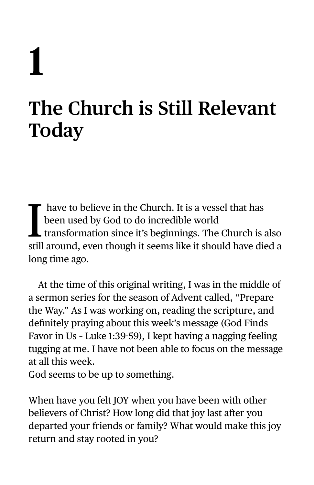# **1**

## **The Church is Still Relevant Today**

I<br>dill have to believe in the Church. It is a vessel that has been used by God to do incredible world transformation since it's beginnings. The Church is also still around, even though it seems like it should have died a long time ago.

At the time of this original writing, I was in the middle of a sermon series for the season of Advent called, "Prepare the Way." As I was working on, reading the scripture, and definitely praying about this week's message (God Finds Favor in Us – Luke 1:39-59), I kept having a nagging feeling tugging at me. I have not been able to focus on the message at all this week.

God seems to be up to something.

When have you felt JOY when you have been with other believers of Christ? How long did that joy last after you departed your friends or family? What would make this joy return and stay rooted in you?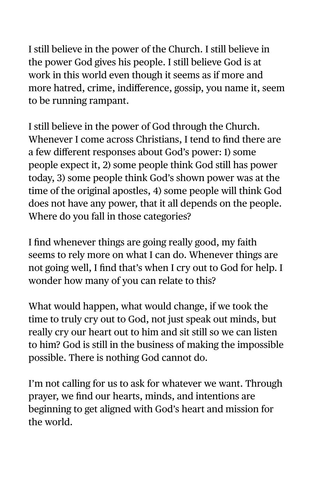I still believe in the power of the Church. I still believe in the power God gives his people. I still believe God is at work in this world even though it seems as if more and more hatred, crime, indifference, gossip, you name it, seem to be running rampant.

I still believe in the power of God through the Church. Whenever I come across Christians, I tend to find there are a few different responses about God's power: 1) some people expect it, 2) some people think God still has power today, 3) some people think God's shown power was at the time of the original apostles, 4) some people will think God does not have any power, that it all depends on the people. Where do you fall in those categories?

I find whenever things are going really good, my faith seems to rely more on what I can do. Whenever things are not going well, I find that's when I cry out to God for help. I wonder how many of you can relate to this?

What would happen, what would change, if we took the time to truly cry out to God, not just speak out minds, but really cry our heart out to him and sit still so we can listen to him? God is still in the business of making the impossible possible. There is nothing God cannot do.

I'm not calling for us to ask for whatever we want. Through prayer, we find our hearts, minds, and intentions are beginning to get aligned with God's heart and mission for the world.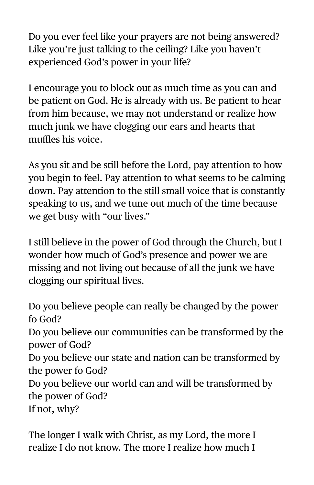Do you ever feel like your prayers are not being answered? Like you're just talking to the ceiling? Like you haven't experienced God's power in your life?

I encourage you to block out as much time as you can and be patient on God. He is already with us. Be patient to hear from him because, we may not understand or realize how much junk we have clogging our ears and hearts that muffles his voice.

As you sit and be still before the Lord, pay attention to how you begin to feel. Pay attention to what seems to be calming down. Pay attention to the still small voice that is constantly speaking to us, and we tune out much of the time because we get busy with "our lives."

I still believe in the power of God through the Church, but I wonder how much of God's presence and power we are missing and not living out because of all the junk we have clogging our spiritual lives.

Do you believe people can really be changed by the power fo God? Do you believe our communities can be transformed by the power of God? Do you believe our state and nation can be transformed by the power fo God? Do you believe our world can and will be transformed by the power of God? If not, why?

The longer I walk with Christ, as my Lord, the more I realize I do not know. The more I realize how much I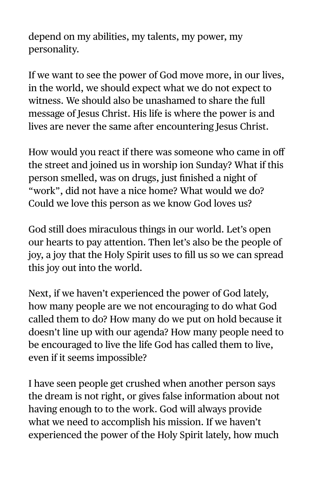depend on my abilities, my talents, my power, my personality.

If we want to see the power of God move more, in our lives, in the world, we should expect what we do not expect to witness. We should also be unashamed to share the full message of Jesus Christ. His life is where the power is and lives are never the same after encountering Jesus Christ.

How would you react if there was someone who came in off the street and joined us in worship ion Sunday? What if this person smelled, was on drugs, just finished a night of "work", did not have a nice home? What would we do? Could we love this person as we know God loves us?

God still does miraculous things in our world. Let's open our hearts to pay attention. Then let's also be the people of joy, a joy that the Holy Spirit uses to fill us so we can spread this joy out into the world.

Next, if we haven't experienced the power of God lately, how many people are we not encouraging to do what God called them to do? How many do we put on hold because it doesn't line up with our agenda? How many people need to be encouraged to live the life God has called them to live, even if it seems impossible?

I have seen people get crushed when another person says the dream is not right, or gives false information about not having enough to to the work. God will always provide what we need to accomplish his mission. If we haven't experienced the power of the Holy Spirit lately, how much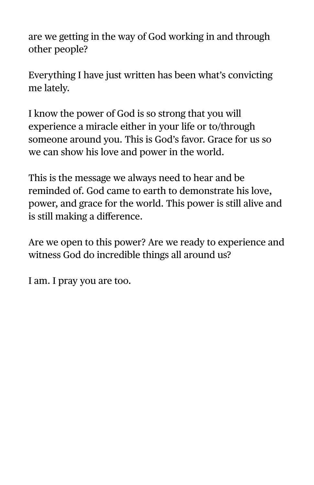are we getting in the way of God working in and through other people?

Everything I have just written has been what's convicting me lately.

I know the power of God is so strong that you will experience a miracle either in your life or to/through someone around you. This is God's favor. Grace for us so we can show his love and power in the world.

This is the message we always need to hear and be reminded of. God came to earth to demonstrate his love, power, and grace for the world. This power is still alive and is still making a difference.

Are we open to this power? Are we ready to experience and witness God do incredible things all around us?

I am. I pray you are too.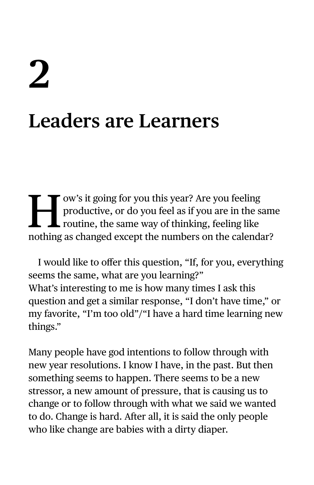# **2 Leaders are Learners**

I ow's it going for you this year? Are you feeling<br>productive, or do you feel as if you are in the same value of thinking, feeling like<br>pathing as changed event the numbers on the salendar productive, or do you feel as if you are in the same routine, the same way of thinking, feeling like nothing as changed except the numbers on the calendar?

I would like to offer this question, "If, for you, everything seems the same, what are you learning?" What's interesting to me is how many times I ask this question and get a similar response, "I don't have time," or my favorite, "I'm too old"/"I have a hard time learning new things."

Many people have god intentions to follow through with new year resolutions. I know I have, in the past. But then something seems to happen. There seems to be a new stressor, a new amount of pressure, that is causing us to change or to follow through with what we said we wanted to do. Change is hard. After all, it is said the only people who like change are babies with a dirty diaper.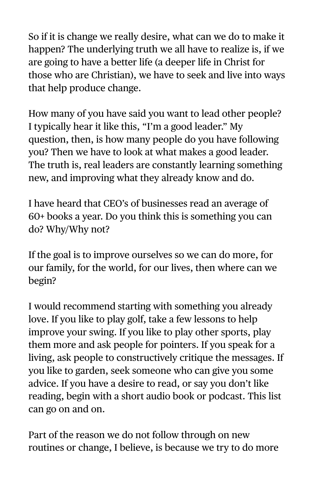So if it is change we really desire, what can we do to make it happen? The underlying truth we all have to realize is, if we are going to have a better life (a deeper life in Christ for those who are Christian), we have to seek and live into ways that help produce change.

How many of you have said you want to lead other people? I typically hear it like this, "I'm a good leader." My question, then, is how many people do you have following you? Then we have to look at what makes a good leader. The truth is, real leaders are constantly learning something new, and improving what they already know and do.

I have heard that CEO's of businesses read an average of 60+ books a year. Do you think this is something you can do? Why/Why not?

If the goal is to improve ourselves so we can do more, for our family, for the world, for our lives, then where can we begin?

I would recommend starting with something you already love. If you like to play golf, take a few lessons to help improve your swing. If you like to play other sports, play them more and ask people for pointers. If you speak for a living, ask people to constructively critique the messages. If you like to garden, seek someone who can give you some advice. If you have a desire to read, or say you don't like reading, begin with a short audio book or podcast. This list can go on and on.

Part of the reason we do not follow through on new routines or change, I believe, is because we try to do more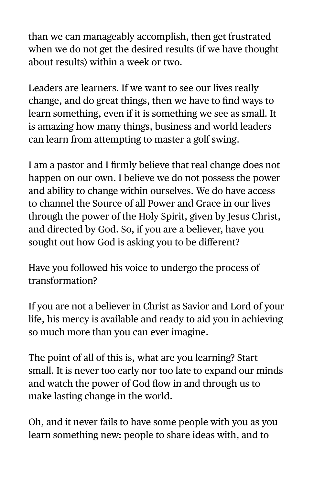than we can manageably accomplish, then get frustrated when we do not get the desired results (if we have thought about results) within a week or two.

Leaders are learners. If we want to see our lives really change, and do great things, then we have to find ways to learn something, even if it is something we see as small. It is amazing how many things, business and world leaders can learn from attempting to master a golf swing.

I am a pastor and I firmly believe that real change does not happen on our own. I believe we do not possess the power and ability to change within ourselves. We do have access to channel the Source of all Power and Grace in our lives through the power of the Holy Spirit, given by Jesus Christ, and directed by God. So, if you are a believer, have you sought out how God is asking you to be different?

Have you followed his voice to undergo the process of transformation?

If you are not a believer in Christ as Savior and Lord of your life, his mercy is available and ready to aid you in achieving so much more than you can ever imagine.

The point of all of this is, what are you learning? Start small. It is never too early nor too late to expand our minds and watch the power of God flow in and through us to make lasting change in the world.

Oh, and it never fails to have some people with you as you learn something new: people to share ideas with, and to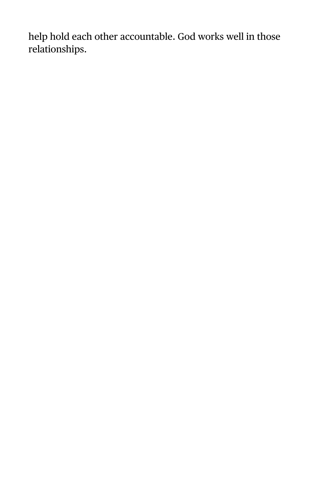help hold each other accountable. God works well in those relationships.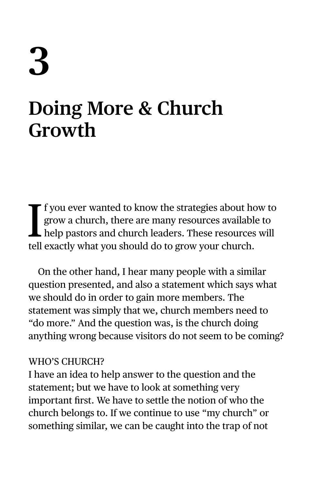# **3**

### **Doing More & Church Growth**

If you ever wanted to know the strategies about hogrow a church, there are many resources available help pastors and church leaders. These resources tell exactly what you should do to grow your church. f you ever wanted to know the strategies about how to grow a church, there are many resources available to help pastors and church leaders. These resources will

On the other hand, I hear many people with a similar question presented, and also a statement which says what we should do in order to gain more members. The statement was simply that we, church members need to "do more." And the question was, is the church doing anything wrong because visitors do not seem to be coming?

#### WHO'S CHURCH?

I have an idea to help answer to the question and the statement; but we have to look at something very important first. We have to settle the notion of who the church belongs to. If we continue to use "my church" or something similar, we can be caught into the trap of not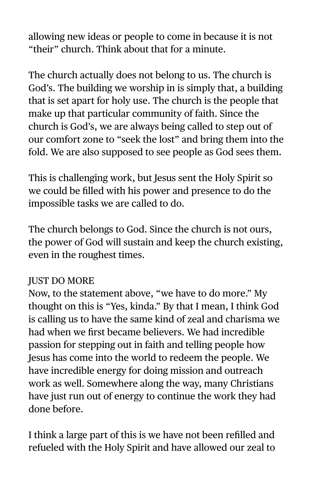allowing new ideas or people to come in because it is not "their" church. Think about that for a minute.

The church actually does not belong to us. The church is God's. The building we worship in is simply that, a building that is set apart for holy use. The church is the people that make up that particular community of faith. Since the church is God's, we are always being called to step out of our comfort zone to "seek the lost" and bring them into the fold. We are also supposed to see people as God sees them.

This is challenging work, but Jesus sent the Holy Spirit so we could be filled with his power and presence to do the impossible tasks we are called to do.

The church belongs to God. Since the church is not ours, the power of God will sustain and keep the church existing, even in the roughest times.

#### JUST DO MORE

Now, to the statement above, "we have to do more." My thought on this is "Yes, kinda." By that I mean, I think God is calling us to have the same kind of zeal and charisma we had when we first became believers. We had incredible passion for stepping out in faith and telling people how Jesus has come into the world to redeem the people. We have incredible energy for doing mission and outreach work as well. Somewhere along the way, many Christians have just run out of energy to continue the work they had done before.

I think a large part of this is we have not been refilled and refueled with the Holy Spirit and have allowed our zeal to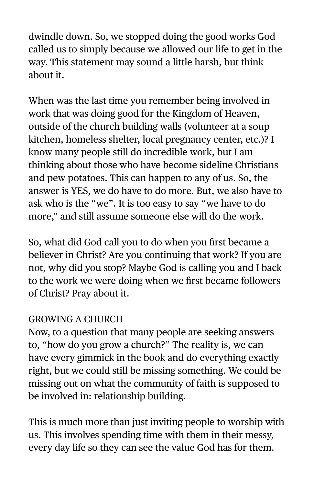dwindle down. So, we stopped doing the good works God called us to simply because we allowed our life to get in the way. This statement may sound a little harsh, but think about it.

When was the last time you remember being involved in work that was doing good for the Kingdom of Heaven, outside of the church building walls (volunteer at a soup kitchen, homeless shelter, local pregnancy center, etc.)? I know many people still do incredible work, but I am thinking about those who have become sideline Christians and pew potatoes. This can happen to any of us. So, the answer is YES, we do have to do more. But, we also have to ask who is the "we". It is too easy to say "we have to do more," and still assume someone else will do the work.

So, what did God call you to do when you first became a believer in Christ? Are you continuing that work? If you are not, why did you stop? Maybe God is calling you and I back to the work we were doing when we first became followers of Christ? Pray about it.

#### GROWING A CHURCH

Now, to a question that many people are seeking answers to, "how do you grow a church?" The reality is, we can have every gimmick in the book and do everything exactly right, but we could still be missing something. We could be missing out on what the community of faith is supposed to be involved in: relationship building.

This is much more than just inviting people to worship with us. This involves spending time with them in their messy, every day life so they can see the value God has for them.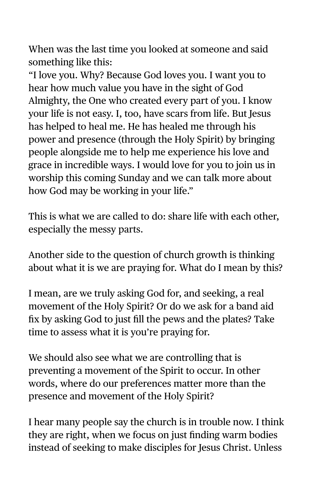When was the last time you looked at someone and said something like this:

"I love you. Why? Because God loves you. I want you to hear how much value you have in the sight of God Almighty, the One who created every part of you. I know your life is not easy. I, too, have scars from life. But Jesus has helped to heal me. He has healed me through his power and presence (through the Holy Spirit) by bringing people alongside me to help me experience his love and grace in incredible ways. I would love for you to join us in worship this coming Sunday and we can talk more about how God may be working in your life."

This is what we are called to do: share life with each other, especially the messy parts.

Another side to the question of church growth is thinking about what it is we are praying for. What do I mean by this?

I mean, are we truly asking God for, and seeking, a real movement of the Holy Spirit? Or do we ask for a band aid fix by asking God to just fill the pews and the plates? Take time to assess what it is you're praying for.

We should also see what we are controlling that is preventing a movement of the Spirit to occur. In other words, where do our preferences matter more than the presence and movement of the Holy Spirit?

I hear many people say the church is in trouble now. I think they are right, when we focus on just finding warm bodies instead of seeking to make disciples for Jesus Christ. Unless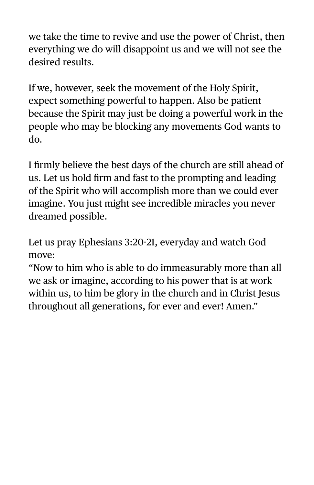we take the time to revive and use the power of Christ, then everything we do will disappoint us and we will not see the desired results.

If we, however, seek the movement of the Holy Spirit, expect something powerful to happen. Also be patient because the Spirit may just be doing a powerful work in the people who may be blocking any movements God wants to do.

I firmly believe the best days of the church are still ahead of us. Let us hold firm and fast to the prompting and leading of the Spirit who will accomplish more than we could ever imagine. You just might see incredible miracles you never dreamed possible.

Let us pray Ephesians 3:20-21, everyday and watch God move:

"Now to him who is able to do immeasurably more than all we ask or imagine, according to his power that is at work within us, to him be glory in the church and in Christ Jesus throughout all generations, for ever and ever! Amen."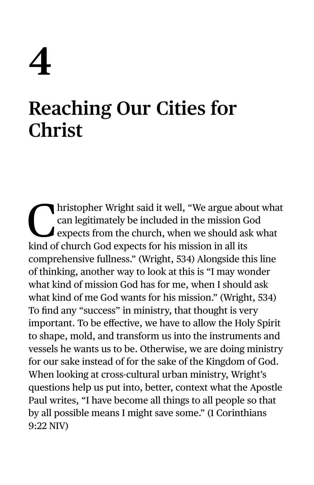# **4**

## **Reaching Our Cities for Christ**

Inistopher Wright said it well, "We argue about what<br>can legitimately be included in the mission God<br>expects from the church, when we should ask what<br>kind of church Cod expects for his mission in all its can legitimately be included in the mission God expects from the church, when we should ask what kind of church God expects for his mission in all its comprehensive fullness." (Wright, 534) Alongside this line of thinking, another way to look at this is "I may wonder what kind of mission God has for me, when I should ask what kind of me God wants for his mission." (Wright, 534) To find any "success" in ministry, that thought is very important. To be effective, we have to allow the Holy Spirit to shape, mold, and transform us into the instruments and vessels he wants us to be. Otherwise, we are doing ministry for our sake instead of for the sake of the Kingdom of God. When looking at cross-cultural urban ministry, Wright's questions help us put into, better, context what the Apostle Paul writes, "I have become all things to all people so that by all possible means I might save some." (1 Corinthians 9:22 NIV)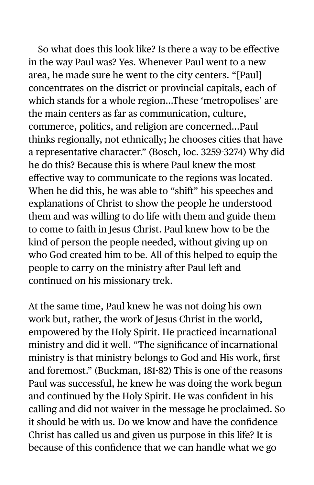So what does this look like? Is there a way to be effective in the way Paul was? Yes. Whenever Paul went to a new area, he made sure he went to the city centers. "[Paul] concentrates on the district or provincial capitals, each of which stands for a whole region…These 'metropolises' are the main centers as far as communication, culture, commerce, politics, and religion are concerned…Paul thinks regionally, not ethnically; he chooses cities that have a representative character." (Bosch, loc. 3259-3274) Why did he do this? Because this is where Paul knew the most effective way to communicate to the regions was located. When he did this, he was able to "shift" his speeches and explanations of Christ to show the people he understood them and was willing to do life with them and guide them to come to faith in Jesus Christ. Paul knew how to be the kind of person the people needed, without giving up on who God created him to be. All of this helped to equip the people to carry on the ministry after Paul left and continued on his missionary trek.

At the same time, Paul knew he was not doing his own work but, rather, the work of Jesus Christ in the world, empowered by the Holy Spirit. He practiced incarnational ministry and did it well. "The significance of incarnational ministry is that ministry belongs to God and His work, first and foremost." (Buckman, 181-82) This is one of the reasons Paul was successful, he knew he was doing the work begun and continued by the Holy Spirit. He was confident in his calling and did not waiver in the message he proclaimed. So it should be with us. Do we know and have the confidence Christ has called us and given us purpose in this life? It is because of this confidence that we can handle what we go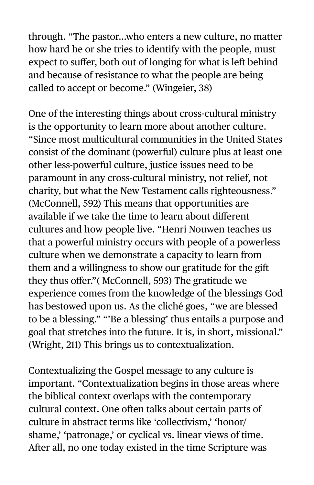through. "The pastor…who enters a new culture, no matter how hard he or she tries to identify with the people, must expect to suffer, both out of longing for what is left behind and because of resistance to what the people are being called to accept or become." (Wingeier, 38)

One of the interesting things about cross-cultural ministry is the opportunity to learn more about another culture. "Since most multicultural communities in the United States consist of the dominant (powerful) culture plus at least one other less-powerful culture, justice issues need to be paramount in any cross-cultural ministry, not relief, not charity, but what the New Testament calls righteousness." (McConnell, 592) This means that opportunities are available if we take the time to learn about different cultures and how people live. "Henri Nouwen teaches us that a powerful ministry occurs with people of a powerless culture when we demonstrate a capacity to learn from them and a willingness to show our gratitude for the gift they thus offer."( McConnell, 593) The gratitude we experience comes from the knowledge of the blessings God has bestowed upon us. As the cliché goes, "we are blessed to be a blessing." "'Be a blessing' thus entails a purpose and goal that stretches into the future. It is, in short, missional." (Wright, 211) This brings us to contextualization.

Contextualizing the Gospel message to any culture is important. "Contextualization begins in those areas where the biblical context overlaps with the contemporary cultural context. One often talks about certain parts of culture in abstract terms like 'collectivism,' 'honor/ shame,' 'patronage,' or cyclical vs. linear views of time. After all, no one today existed in the time Scripture was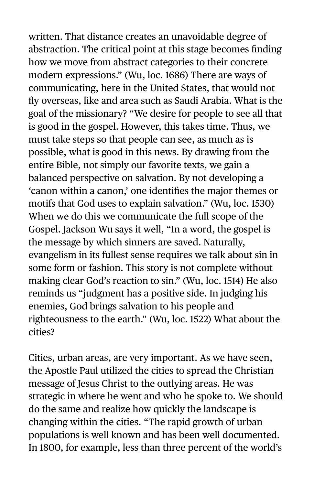written. That distance creates an unavoidable degree of abstraction. The critical point at this stage becomes finding how we move from abstract categories to their concrete modern expressions." (Wu, loc. 1686) There are ways of communicating, here in the United States, that would not fly overseas, like and area such as Saudi Arabia. What is the goal of the missionary? "We desire for people to see all that is good in the gospel. However, this takes time. Thus, we must take steps so that people can see, as much as is possible, what is good in this news. By drawing from the entire Bible, not simply our favorite texts, we gain a balanced perspective on salvation. By not developing a 'canon within a canon,' one identifies the major themes or motifs that God uses to explain salvation." (Wu, loc. 1530) When we do this we communicate the full scope of the Gospel. Jackson Wu says it well, "In a word, the gospel is the message by which sinners are saved. Naturally, evangelism in its fullest sense requires we talk about sin in some form or fashion. This story is not complete without making clear God's reaction to sin." (Wu, loc. 1514) He also reminds us "judgment has a positive side. In judging his enemies, God brings salvation to his people and righteousness to the earth." (Wu, loc. 1522) What about the cities?

Cities, urban areas, are very important. As we have seen, the Apostle Paul utilized the cities to spread the Christian message of Jesus Christ to the outlying areas. He was strategic in where he went and who he spoke to. We should do the same and realize how quickly the landscape is changing within the cities. "The rapid growth of urban populations is well known and has been well documented. In 1800, for example, less than three percent of the world's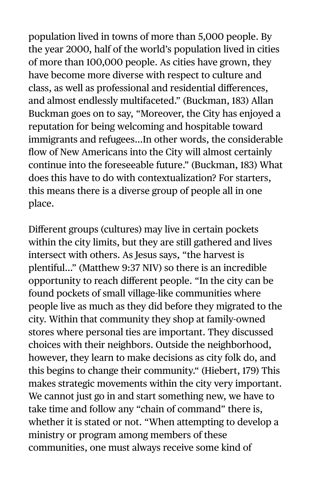population lived in towns of more than 5,000 people. By the year 2000, half of the world's population lived in cities of more than 100,000 people. As cities have grown, they have become more diverse with respect to culture and class, as well as professional and residential differences, and almost endlessly multifaceted." (Buckman, 183) Allan Buckman goes on to say, "Moreover, the City has enjoyed a reputation for being welcoming and hospitable toward immigrants and refugees…In other words, the considerable flow of New Americans into the City will almost certainly continue into the foreseeable future." (Buckman, 183) What does this have to do with contextualization? For starters, this means there is a diverse group of people all in one place.

Different groups (cultures) may live in certain pockets within the city limits, but they are still gathered and lives intersect with others. As Jesus says, "the harvest is plentiful…" (Matthew 9:37 NIV) so there is an incredible opportunity to reach different people. "In the city can be found pockets of small village-like communities where people live as much as they did before they migrated to the city. Within that community they shop at family-owned stores where personal ties are important. They discussed choices with their neighbors. Outside the neighborhood, however, they learn to make decisions as city folk do, and this begins to change their community." (Hiebert, 179) This makes strategic movements within the city very important. We cannot just go in and start something new, we have to take time and follow any "chain of command" there is, whether it is stated or not. "When attempting to develop a ministry or program among members of these communities, one must always receive some kind of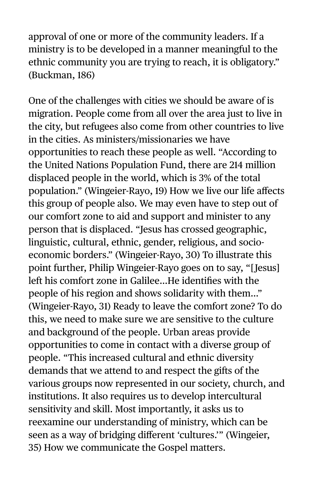approval of one or more of the community leaders. If a ministry is to be developed in a manner meaningful to the ethnic community you are trying to reach, it is obligatory." (Buckman, 186)

One of the challenges with cities we should be aware of is migration. People come from all over the area just to live in the city, but refugees also come from other countries to live in the cities. As ministers/missionaries we have opportunities to reach these people as well. "According to the United Nations Population Fund, there are 214 million displaced people in the world, which is 3% of the total population." (Wingeier-Rayo, 19) How we live our life affects this group of people also. We may even have to step out of our comfort zone to aid and support and minister to any person that is displaced. "Jesus has crossed geographic, linguistic, cultural, ethnic, gender, religious, and socioeconomic borders." (Wingeier-Rayo, 30) To illustrate this point further, Philip Wingeier-Rayo goes on to say, "[Jesus] left his comfort zone in Galilee…He identifies with the people of his region and shows solidarity with them…" (Wingeier-Rayo, 31) Ready to leave the comfort zone? To do this, we need to make sure we are sensitive to the culture and background of the people. Urban areas provide opportunities to come in contact with a diverse group of people. "This increased cultural and ethnic diversity demands that we attend to and respect the gifts of the various groups now represented in our society, church, and institutions. It also requires us to develop intercultural sensitivity and skill. Most importantly, it asks us to reexamine our understanding of ministry, which can be seen as a way of bridging different 'cultures.'" (Wingeier, 35) How we communicate the Gospel matters.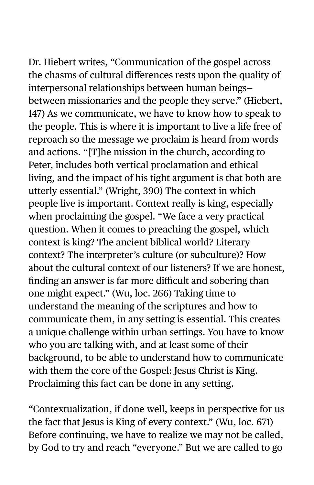Dr. Hiebert writes, "Communication of the gospel across the chasms of cultural differences rests upon the quality of interpersonal relationships between human beings between missionaries and the people they serve." (Hiebert, 147) As we communicate, we have to know how to speak to the people. This is where it is important to live a life free of reproach so the message we proclaim is heard from words and actions. "[T]he mission in the church, according to Peter, includes both vertical proclamation and ethical living, and the impact of his tight argument is that both are utterly essential." (Wright, 390) The context in which people live is important. Context really is king, especially when proclaiming the gospel. "We face a very practical question. When it comes to preaching the gospel, which context is king? The ancient biblical world? Literary context? The interpreter's culture (or subculture)? How about the cultural context of our listeners? If we are honest, finding an answer is far more difficult and sobering than one might expect." (Wu, loc. 266) Taking time to understand the meaning of the scriptures and how to communicate them, in any setting is essential. This creates a unique challenge within urban settings. You have to know who you are talking with, and at least some of their background, to be able to understand how to communicate with them the core of the Gospel: Jesus Christ is King. Proclaiming this fact can be done in any setting.

"Contextualization, if done well, keeps in perspective for us the fact that Jesus is King of every context." (Wu, loc. 671) Before continuing, we have to realize we may not be called, by God to try and reach "everyone." But we are called to go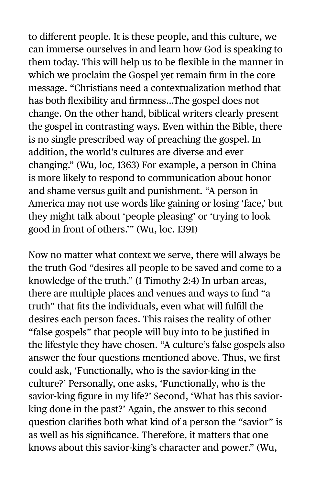to different people. It is these people, and this culture, we can immerse ourselves in and learn how God is speaking to them today. This will help us to be flexible in the manner in which we proclaim the Gospel yet remain firm in the core message. "Christians need a contextualization method that has both flexibility and firmness…The gospel does not change. On the other hand, biblical writers clearly present the gospel in contrasting ways. Even within the Bible, there is no single prescribed way of preaching the gospel. In addition, the world's cultures are diverse and ever changing." (Wu, loc, 1363) For example, a person in China is more likely to respond to communication about honor and shame versus guilt and punishment. "A person in America may not use words like gaining or losing 'face,' but they might talk about 'people pleasing' or 'trying to look good in front of others.'" (Wu, loc. 1391)

Now no matter what context we serve, there will always be the truth God "desires all people to be saved and come to a knowledge of the truth." (1 Timothy 2:4) In urban areas, there are multiple places and venues and ways to find "a truth" that fits the individuals, even what will fulfill the desires each person faces. This raises the reality of other "false gospels" that people will buy into to be justified in the lifestyle they have chosen. "A culture's false gospels also answer the four questions mentioned above. Thus, we first could ask, 'Functionally, who is the savior-king in the culture?' Personally, one asks, 'Functionally, who is the savior-king figure in my life?' Second, 'What has this saviorking done in the past?' Again, the answer to this second question clarifies both what kind of a person the "savior" is as well as his significance. Therefore, it matters that one knows about this savior-king's character and power." (Wu,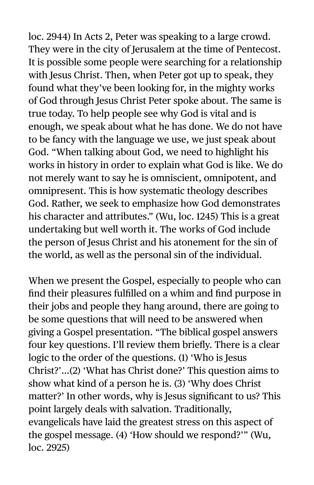loc. 2944) In Acts 2, Peter was speaking to a large crowd. They were in the city of Jerusalem at the time of Pentecost. It is possible some people were searching for a relationship with Jesus Christ. Then, when Peter got up to speak, they found what they've been looking for, in the mighty works of God through Jesus Christ Peter spoke about. The same is true today. To help people see why God is vital and is enough, we speak about what he has done. We do not have to be fancy with the language we use, we just speak about God. "When talking about God, we need to highlight his works in history in order to explain what God is like. We do not merely want to say he is omniscient, omnipotent, and omnipresent. This is how systematic theology describes God. Rather, we seek to emphasize how God demonstrates his character and attributes." (Wu, loc. 1245) This is a great undertaking but well worth it. The works of God include the person of Jesus Christ and his atonement for the sin of the world, as well as the personal sin of the individual.

When we present the Gospel, especially to people who can find their pleasures fulfilled on a whim and find purpose in their jobs and people they hang around, there are going to be some questions that will need to be answered when giving a Gospel presentation. "The biblical gospel answers four key questions. I'll review them briefly. There is a clear logic to the order of the questions. (1) 'Who is Jesus Christ?'…(2) 'What has Christ done?' This question aims to show what kind of a person he is. (3) 'Why does Christ matter?' In other words, why is Jesus significant to us? This point largely deals with salvation. Traditionally, evangelicals have laid the greatest stress on this aspect of the gospel message. (4) 'How should we respond?'" (Wu, loc. 2925)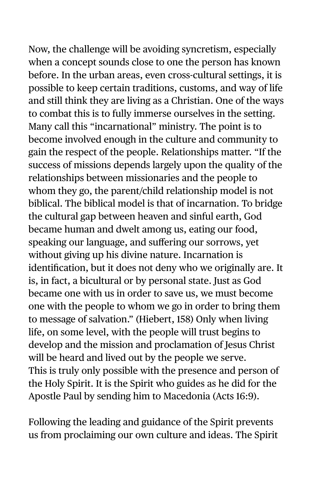Now, the challenge will be avoiding syncretism, especially when a concept sounds close to one the person has known before. In the urban areas, even cross-cultural settings, it is possible to keep certain traditions, customs, and way of life and still think they are living as a Christian. One of the ways to combat this is to fully immerse ourselves in the setting. Many call this "incarnational" ministry. The point is to become involved enough in the culture and community to gain the respect of the people. Relationships matter. "If the success of missions depends largely upon the quality of the relationships between missionaries and the people to whom they go, the parent/child relationship model is not biblical. The biblical model is that of incarnation. To bridge the cultural gap between heaven and sinful earth, God became human and dwelt among us, eating our food, speaking our language, and suffering our sorrows, yet without giving up his divine nature. Incarnation is identification, but it does not deny who we originally are. It is, in fact, a bicultural or by personal state. Just as God became one with us in order to save us, we must become one with the people to whom we go in order to bring them to message of salvation." (Hiebert, 158) Only when living life, on some level, with the people will trust begins to develop and the mission and proclamation of Jesus Christ will be heard and lived out by the people we serve. This is truly only possible with the presence and person of the Holy Spirit. It is the Spirit who guides as he did for the Apostle Paul by sending him to Macedonia (Acts 16:9).

Following the leading and guidance of the Spirit prevents us from proclaiming our own culture and ideas. The Spirit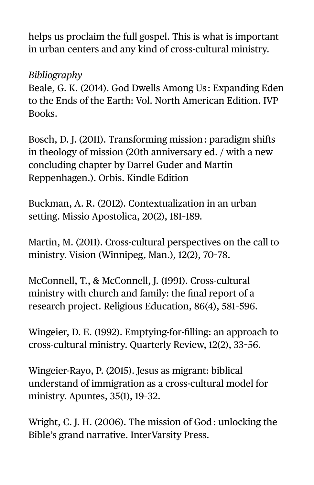helps us proclaim the full gospel. This is what is important in urban centers and any kind of cross-cultural ministry.

#### *Bibliography*

Beale, G. K. (2014). God Dwells Among Us : Expanding Eden to the Ends of the Earth: Vol. North American Edition. IVP Books.

Bosch, D. J. (2011). Transforming mission: paradigm shifts in theology of mission (20th anniversary ed. / with a new concluding chapter by Darrel Guder and Martin Reppenhagen.). Orbis. Kindle Edition

Buckman, A. R. (2012). Contextualization in an urban setting. Missio Apostolica, 20(2), 181–189.

Martin, M. (2011). Cross-cultural perspectives on the call to ministry. Vision (Winnipeg, Man.), 12(2), 70–78.

McConnell, T., & McConnell, J. (1991). Cross-cultural ministry with church and family: the final report of a research project. Religious Education, 86(4), 581–596.

Wingeier, D. E. (1992). Emptying-for-filling: an approach to cross-cultural ministry. Quarterly Review, 12(2), 33–56.

Wingeier-Rayo, P. (2015). Jesus as migrant: biblical understand of immigration as a cross-cultural model for ministry. Apuntes, 35(1), 19–32.

Wright, C. J. H. (2006). The mission of God: unlocking the Bible's grand narrative. InterVarsity Press.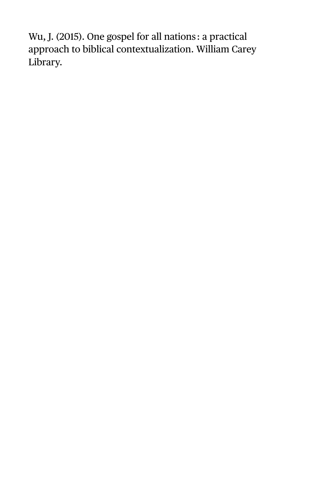Wu, J. (2015). One gospel for all nations : a practical approach to biblical contextualization. William Carey Library.